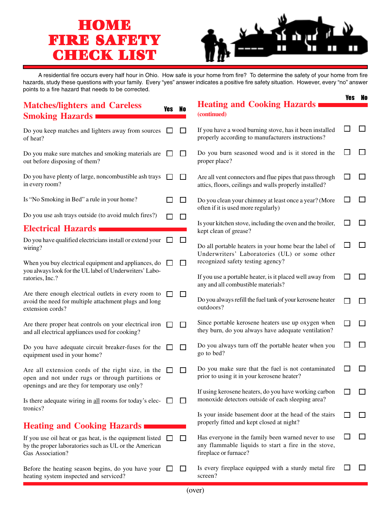## **HOME FIRE SAFETY FIRE SAFETY CHECK LIST LIST**



Yes No

A residential fire occurs every half hour in Ohio. How safe is your home from fire? To determine the safety of your home from fire hazards, study these questions with your family. Every "yes" answer indicates a positive fire safety situation. However, every "no" answer points to a fire hazard that needs to be corrected.

|                                                                                                                                       |        |                             | <b>Heating and Cooking Hazards</b>                                                                                                  | 1G9          |              |
|---------------------------------------------------------------------------------------------------------------------------------------|--------|-----------------------------|-------------------------------------------------------------------------------------------------------------------------------------|--------------|--------------|
| <b>Matches/lighters and Careless</b><br><b>Smoking Hazards</b>                                                                        | Yes No |                             | (continued)                                                                                                                         |              |              |
| Do you keep matches and lighters away from sources<br>of heat?                                                                        |        | $\Box$                      | If you have a wood burning stove, has it been installed<br>properly according to manufacturers instructions?                        |              |              |
| Do you make sure matches and smoking materials are<br>out before disposing of them?                                                   |        | $\Box$                      | Do you burn seasoned wood and is it stored in the<br>proper place?                                                                  |              | $\mathsf{I}$ |
| Do you have plenty of large, noncombustible ash trays<br>in every room?                                                               |        | ப                           | Are all vent connectors and flue pipes that pass through<br>attics, floors, ceilings and walls properly installed?                  |              | $\mathsf{L}$ |
| Is "No Smoking in Bed" a rule in your home?                                                                                           |        | $\mathcal{L}_{\mathcal{A}}$ | Do you clean your chimney at least once a year? (More<br>often if it is used more regularly)                                        | $\mathbf{I}$ | $\Box$       |
| Do you use ash trays outside (to avoid mulch fires?)                                                                                  |        | ப                           |                                                                                                                                     |              |              |
| <b>Electrical Hazards</b>                                                                                                             |        |                             | Is your kitchen stove, including the oven and the broiler,<br>kept clean of grease?                                                 |              | ΙI           |
| Do you have qualified electricians install or extend your<br>wiring?                                                                  |        | $\Box$                      | Do all portable heaters in your home bear the label of<br>Underwriters' Laboratories (UL) or some other                             |              | $\mathsf{L}$ |
| When you buy electrical equipment and appliances, do                                                                                  |        | $\mathsf{L}$                | recognized safety testing agency?                                                                                                   |              |              |
| you always look for the UL label of Underwriters' Labo-<br>ratories, Inc.?                                                            |        |                             | If you use a portable heater, is it placed well away from<br>any and all combustible materials?                                     |              | l l          |
| Are there enough electrical outlets in every room to<br>avoid the need for multiple attachment plugs and long<br>extension cords?     |        | ப                           | Do you always refill the fuel tank of your kerosene heater<br>outdoors?                                                             |              | $\mathsf{I}$ |
| Are there proper heat controls on your electrical iron<br>and all electrical appliances used for cooking?                             |        | $\Box$                      | Since portable kerosene heaters use up oxygen when<br>they burn, do you always have adequate ventilation?                           | l l          | П            |
| Do you have adequate circuit breaker-fuses for the<br>equipment used in your home?                                                    |        | $\Box$                      | Do you always turn off the portable heater when you<br>go to bed?                                                                   |              | ⊓            |
| Are all extension cords of the right size, in the<br>open and not under rugs or through partitions or                                 |        | $\mathsf{L}$                | Do you make sure that the fuel is not contaminated<br>prior to using it in your kerosene heater?                                    |              | $\mathsf{I}$ |
| openings and are they for temporary use only?                                                                                         |        |                             | If using kerosene heaters, do you have working carbon                                                                               |              | l l          |
| Is there adequate wiring in all rooms for today's elec-<br>tronics?                                                                   |        | $\mathbf{L}$                | monoxide detectors outside of each sleeping area?                                                                                   |              |              |
| <b>Heating and Cooking Hazards</b>                                                                                                    |        |                             | Is your inside basement door at the head of the stairs<br>properly fitted and kept closed at night?                                 |              | l l          |
| If you use oil heat or gas heat, is the equipment listed<br>by the proper laboratories such as UL or the American<br>Gas Association? |        | $\Box$                      | Has everyone in the family been warned never to use<br>any flammable liquids to start a fire in the stove,<br>fireplace or furnace? |              | l l          |
| Before the heating season begins, do you have your<br>heating system inspected and serviced?                                          |        | ப                           | Is every fireplace equipped with a sturdy metal fire<br>screen?                                                                     |              | $\mathbf{I}$ |
|                                                                                                                                       |        |                             |                                                                                                                                     |              |              |

(over)